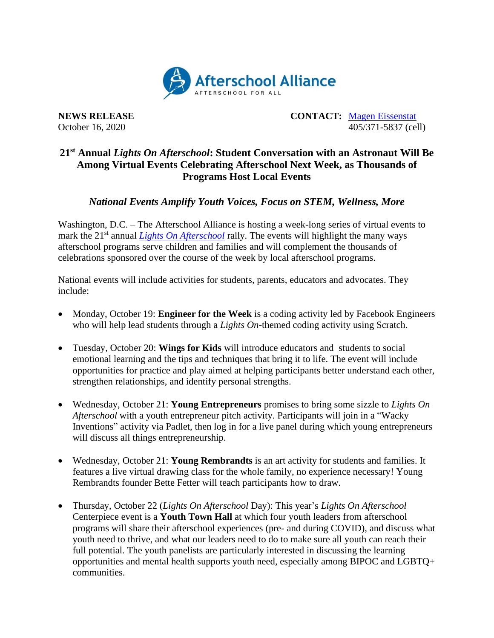

**NEWS RELEASE CONTACT:** [Magen Eissenstat](mailto:magen@prsolutionsdc.com) October 16, 2020 405/371-5837 (cell)

## **21st Annual** *Lights On Afterschool***: Student Conversation with an Astronaut Will Be Among Virtual Events Celebrating Afterschool Next Week, as Thousands of Programs Host Local Events**

*National Events Amplify Youth Voices, Focus on STEM, Wellness, More*

Washington, D.C. – The Afterschool Alliance is hosting a week-long series of virtual events to mark the 21<sup>st</sup> annual *[Lights On Afterschool](http://www.afterschoolalliance.org/loa.cfm)* rally. The events will highlight the many ways afterschool programs serve children and families and will complement the thousands of celebrations sponsored over the course of the week by local afterschool programs.

National events will include activities for students, parents, educators and advocates. They include:

- Monday, October 19: **Engineer for the Week** is a coding activity led by Facebook Engineers who will help lead students through a *Lights On*-themed coding activity using Scratch.
- Tuesday, October 20: **Wings for Kids** will introduce educators and students to social emotional learning and the tips and techniques that bring it to life. The event will include opportunities for practice and play aimed at helping participants better understand each other, strengthen relationships, and identify personal strengths.
- Wednesday, October 21: **Young Entrepreneurs** promises to bring some sizzle to *Lights On Afterschool* with a youth entrepreneur pitch activity. Participants will join in a "Wacky Inventions" activity via Padlet, then log in for a live panel during which young entrepreneurs will discuss all things entrepreneurship.
- Wednesday, October 21: **Young Rembrandts** is an art activity for students and families. It features a live virtual drawing class for the whole family, no experience necessary! Young Rembrandts founder Bette Fetter will teach participants how to draw.
- Thursday, October 22 (*Lights On Afterschool* Day): This year's *Lights On Afterschool* Centerpiece event is a **Youth Town Hall** at which four youth leaders from afterschool programs will share their afterschool experiences (pre- and during COVID), and discuss what youth need to thrive, and what our leaders need to do to make sure all youth can reach their full potential. The youth panelists are particularly interested in discussing the learning opportunities and mental health supports youth need, especially among BIPOC and LGBTQ+ communities.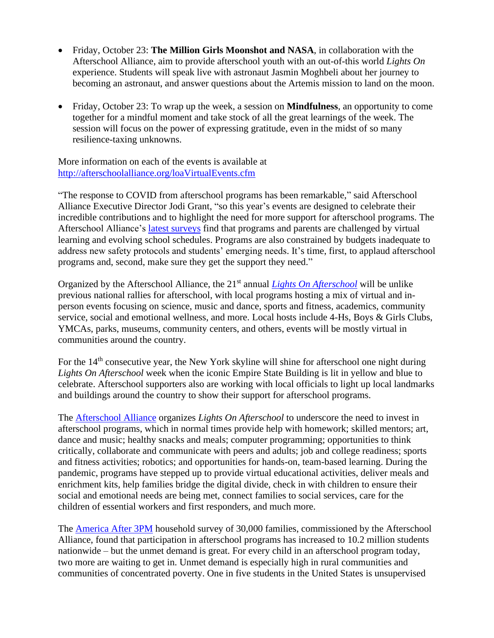- Friday, October 23: **The Million Girls Moonshot and NASA**, in collaboration with the Afterschool Alliance, aim to provide afterschool youth with an out-of-this world *Lights On* experience. Students will speak live with astronaut Jasmin Moghbeli about her journey to becoming an astronaut, and answer questions about the Artemis mission to land on the moon.
- Friday, October 23: To wrap up the week, a session on **Mindfulness**, an opportunity to come together for a mindful moment and take stock of all the great learnings of the week. The session will focus on the power of expressing gratitude, even in the midst of so many resilience-taxing unknowns.

More information on each of the events is available at <http://afterschoolalliance.org/loaVirtualEvents.cfm>

"The response to COVID from afterschool programs has been remarkable," said Afterschool Alliance Executive Director Jodi Grant, "so this year's events are designed to celebrate their incredible contributions and to highlight the need for more support for afterschool programs. The Afterschool Alliance's [latest surveys](http://afterschoolalliance.org/documents/Afterschool-COVID-19-Wave-2-Brief.pdf) find that programs and parents are challenged by virtual learning and evolving school schedules. Programs are also constrained by budgets inadequate to address new safety protocols and students' emerging needs. It's time, first, to applaud afterschool programs and, second, make sure they get the support they need."

Organized by the Afterschool Alliance, the 21st annual *[Lights On Afterschool](http://www.afterschoolalliance.org/loa.cfm)* will be unlike previous national rallies for afterschool, with local programs hosting a mix of virtual and inperson events focusing on science, music and dance, sports and fitness, academics, community service, social and emotional wellness, and more. Local hosts include 4-Hs, Boys & Girls Clubs, YMCAs, parks, museums, community centers, and others, events will be mostly virtual in communities around the country.

For the 14<sup>th</sup> consecutive year, the New York skyline will shine for afterschool one night during *Lights On Afterschool* week when the iconic Empire State Building is lit in yellow and blue to celebrate. Afterschool supporters also are working with local officials to light up local landmarks and buildings around the country to show their support for afterschool programs.

The [Afterschool Alliance](http://www.afterschoolalliance.org/) organizes *Lights On Afterschool* to underscore the need to invest in afterschool programs, which in normal times provide help with homework; skilled mentors; art, dance and music; healthy snacks and meals; computer programming; opportunities to think critically, collaborate and communicate with peers and adults; job and college readiness; sports and fitness activities; robotics; and opportunities for hands-on, team-based learning. During the pandemic, programs have stepped up to provide virtual educational activities, deliver meals and enrichment kits, help families bridge the digital divide, check in with children to ensure their social and emotional needs are being met, connect families to social services, care for the children of essential workers and first responders, and much more.

The [America After 3PM](http://www.afterschoolalliance.org/AA3PM/) household survey of 30,000 families, commissioned by the Afterschool Alliance, found that participation in afterschool programs has increased to 10.2 million students nationwide – but the unmet demand is great. For every child in an afterschool program today, two more are waiting to get in. Unmet demand is especially high in rural communities and communities of concentrated poverty. One in five students in the United States is unsupervised